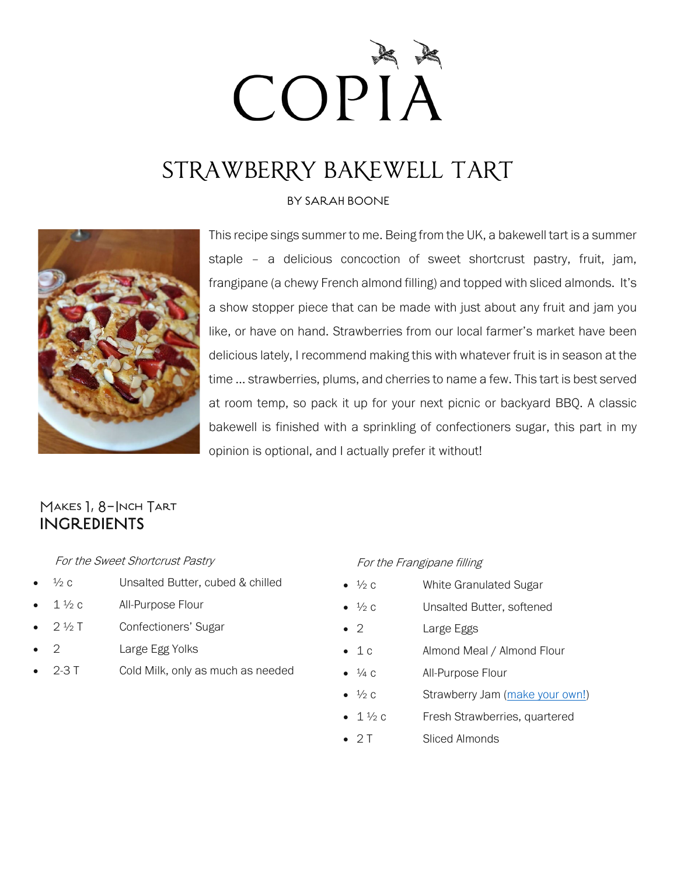# COPIA

# STRAWBERRY BAKEWELL TART

### BY SARAH BOONE



This recipe sings summer to me. Being from the UK, a bakewell tart is a summer staple – a delicious concoction of sweet shortcrust pastry, fruit, jam, frangipane (a chewy French almond filling) and topped with sliced almonds. It's a show stopper piece that can be made with just about any fruit and jam you like, or have on hand. Strawberries from our local farmer's market have been delicious lately, I recommend making this with whatever fruit is in season at the time … strawberries, plums, and cherries to name a few. This tart is best served at room temp, so pack it up for your next picnic or backyard BBQ. A classic bakewell is finished with a sprinkling of confectioners sugar, this part in my opinion is optional, and I actually prefer it without!

## MAKES 1, 8-INCH TART INGREDIENTS

### For the Sweet Shortcrust Pastry

- $\frac{1}{2}c$  Unsalted Butter, cubed & chilled
- $1\frac{1}{2}c$  All-Purpose Flour
- 2 ½ T Confectioners' Sugar
- 2 Large Egg Yolks
- 2-3 T Cold Milk, only as much as needed

#### For the Frangipane filling

- $\frac{1}{2}$  c White Granulated Sugar
- $\frac{1}{2}c$  Unsalted Butter, softened
- 2 Large Eggs
- 1 c Almond Meal / Almond Flour
- $\bullet$   $\frac{1}{4}$  c All-Purpose Flour
- $\bullet$   $\frac{1}{2}c$  Strawberry Jam [\(make your own!\)](https://www.scatteredthoughtsofacraftymom.com/quick-homemade-strawberry-jam/)
- $\bullet$  1  $\frac{1}{2}$  c Fresh Strawberries, quartered
- 2 T Sliced Almonds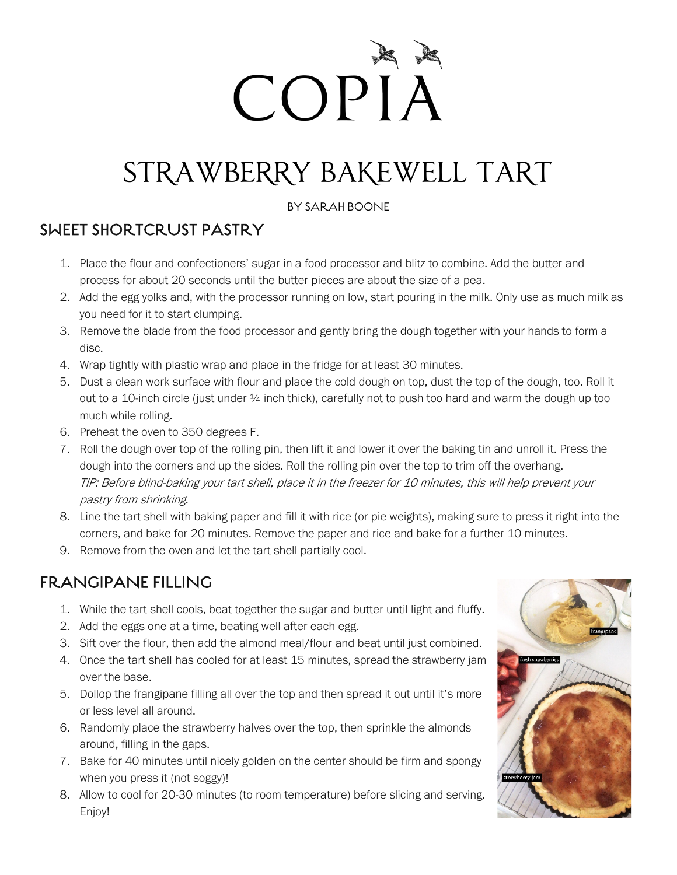# COPIA

# STRAWBERRY BAKEWELL TART

BY SARAH BOONE

# SWEET SHORTCRUST PASTRY

- 1. Place the flour and confectioners' sugar in a food processor and blitz to combine. Add the butter and process for about 20 seconds until the butter pieces are about the size of a pea.
- 2. Add the egg yolks and, with the processor running on low, start pouring in the milk. Only use as much milk as you need for it to start clumping.
- 3. Remove the blade from the food processor and gently bring the dough together with your hands to form a disc.
- 4. Wrap tightly with plastic wrap and place in the fridge for at least 30 minutes.
- 5. Dust a clean work surface with flour and place the cold dough on top, dust the top of the dough, too. Roll it out to a 10-inch circle (just under ¼ inch thick), carefully not to push too hard and warm the dough up too much while rolling.
- 6. Preheat the oven to 350 degrees F.
- 7. Roll the dough over top of the rolling pin, then lift it and lower it over the baking tin and unroll it. Press the dough into the corners and up the sides. Roll the rolling pin over the top to trim off the overhang. TIP: Before blind-baking your tart shell, place it in the freezer for 10 minutes, this will help prevent your pastry from shrinking.
- 8. Line the tart shell with baking paper and fill it with rice (or pie weights), making sure to press it right into the corners, and bake for 20 minutes. Remove the paper and rice and bake for a further 10 minutes.
- 9. Remove from the oven and let the tart shell partially cool.

# FRANGIPANE FILLING

- 1. While the tart shell cools, beat together the sugar and butter until light and fluffy.
- 2. Add the eggs one at a time, beating well after each egg.
- 3. Sift over the flour, then add the almond meal/flour and beat until just combined.
- 4. Once the tart shell has cooled for at least 15 minutes, spread the strawberry jam over the base.
- 5. Dollop the frangipane filling all over the top and then spread it out until it's more or less level all around.
- 6. Randomly place the strawberry halves over the top, then sprinkle the almonds around, filling in the gaps.
- 7. Bake for 40 minutes until nicely golden on the center should be firm and spongy when you press it (not soggy)!
- 8. Allow to cool for 20-30 minutes (to room temperature) before slicing and serving. Enjoy!